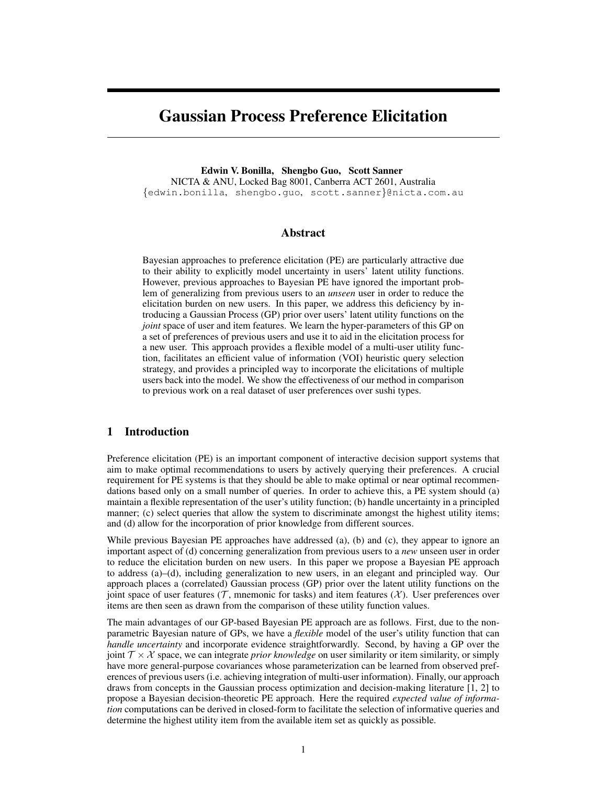# Gaussian Process Preference Elicitation

Edwin V. Bonilla, Shengbo Guo, Scott Sanner NICTA & ANU, Locked Bag 8001, Canberra ACT 2601, Australia {edwin.bonilla, shengbo.guo, scott.sanner}@nicta.com.au

## Abstract

Bayesian approaches to preference elicitation (PE) are particularly attractive due to their ability to explicitly model uncertainty in users' latent utility functions. However, previous approaches to Bayesian PE have ignored the important problem of generalizing from previous users to an *unseen* user in order to reduce the elicitation burden on new users. In this paper, we address this deficiency by introducing a Gaussian Process (GP) prior over users' latent utility functions on the *joint* space of user and item features. We learn the hyper-parameters of this GP on a set of preferences of previous users and use it to aid in the elicitation process for a new user. This approach provides a flexible model of a multi-user utility function, facilitates an efficient value of information (VOI) heuristic query selection strategy, and provides a principled way to incorporate the elicitations of multiple users back into the model. We show the effectiveness of our method in comparison to previous work on a real dataset of user preferences over sushi types.

# 1 Introduction

Preference elicitation (PE) is an important component of interactive decision support systems that aim to make optimal recommendations to users by actively querying their preferences. A crucial requirement for PE systems is that they should be able to make optimal or near optimal recommendations based only on a small number of queries. In order to achieve this, a PE system should (a) maintain a flexible representation of the user's utility function; (b) handle uncertainty in a principled manner; (c) select queries that allow the system to discriminate amongst the highest utility items; and (d) allow for the incorporation of prior knowledge from different sources.

While previous Bayesian PE approaches have addressed (a), (b) and (c), they appear to ignore an important aspect of (d) concerning generalization from previous users to a *new* unseen user in order to reduce the elicitation burden on new users. In this paper we propose a Bayesian PE approach to address (a)–(d), including generalization to new users, in an elegant and principled way. Our approach places a (correlated) Gaussian process (GP) prior over the latent utility functions on the joint space of user features (T, mnemonic for tasks) and item features ( $\mathcal{X}$ ). User preferences over items are then seen as drawn from the comparison of these utility function values.

The main advantages of our GP-based Bayesian PE approach are as follows. First, due to the nonparametric Bayesian nature of GPs, we have a *flexible* model of the user's utility function that can *handle uncertainty* and incorporate evidence straightforwardly. Second, by having a GP over the joint  $\mathcal{T} \times \mathcal{X}$  space, we can integrate *prior knowledge* on user similarity or item similarity, or simply have more general-purpose covariances whose parameterization can be learned from observed preferences of previous users (i.e. achieving integration of multi-user information). Finally, our approach draws from concepts in the Gaussian process optimization and decision-making literature [1, 2] to propose a Bayesian decision-theoretic PE approach. Here the required *expected value of information* computations can be derived in closed-form to facilitate the selection of informative queries and determine the highest utility item from the available item set as quickly as possible.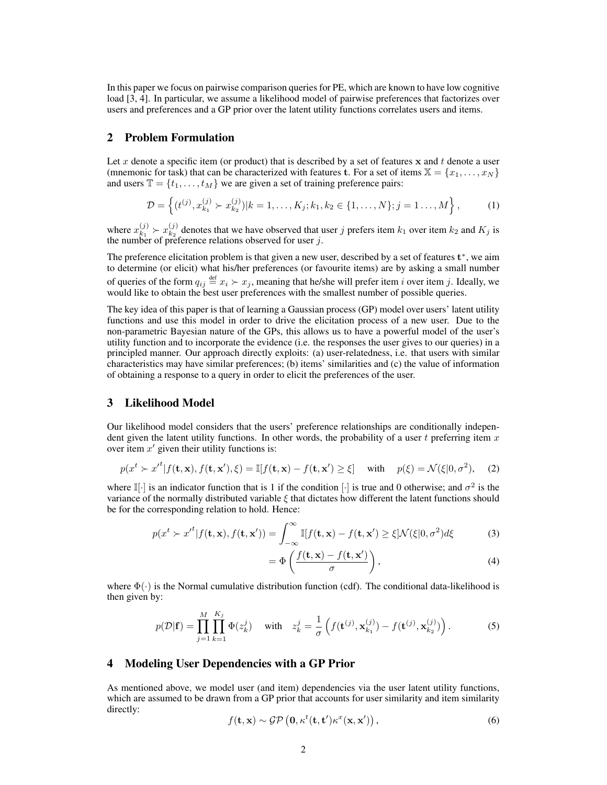In this paper we focus on pairwise comparison queries for PE, which are known to have low cognitive load [3, 4]. In particular, we assume a likelihood model of pairwise preferences that factorizes over users and preferences and a GP prior over the latent utility functions correlates users and items.

# 2 Problem Formulation

Let x denote a specific item (or product) that is described by a set of features x and t denote a user (mnemonic for task) that can be characterized with features t. For a set of items  $X = \{x_1, \ldots, x_N\}$ and users  $\mathbb{T} = \{t_1, \ldots, t_M\}$  we are given a set of training preference pairs:

$$
\mathcal{D} = \left\{ (t^{(j)}, x_{k_1}^{(j)} \succ x_{k_2}^{(j)}) | k = 1, \dots, K_j; k_1, k_2 \in \{1, \dots, N\}; j = 1 \dots, M \right\},\tag{1}
$$

where  $x_{k_1}^{(j)}$  $x_{k_1}^{(j)} \succ x_{k_2}^{(j)}$  $\frac{d^{(j)}}{dx^{(j)}}$  denotes that we have observed that user j prefers item  $k_1$  over item  $k_2$  and  $K_j$  is the number of preference relations observed for user  $j$ .

The preference elicitation problem is that given a new user, described by a set of features  $t^*$ , we aim to determine (or elicit) what his/her preferences (or favourite items) are by asking a small number of queries of the form  $q_{ij} \stackrel{\text{def}}{=} x_i \succ x_j$ , meaning that he/she will prefer item i over item j. Ideally, we would like to obtain the best user preferences with the smallest number of possible queries.

The key idea of this paper is that of learning a Gaussian process (GP) model over users' latent utility functions and use this model in order to drive the elicitation process of a new user. Due to the non-parametric Bayesian nature of the GPs, this allows us to have a powerful model of the user's utility function and to incorporate the evidence (i.e. the responses the user gives to our queries) in a principled manner. Our approach directly exploits: (a) user-relatedness, i.e. that users with similar characteristics may have similar preferences; (b) items' similarities and (c) the value of information of obtaining a response to a query in order to elicit the preferences of the user.

# 3 Likelihood Model

Our likelihood model considers that the users' preference relationships are conditionally independent given the latent utility functions. In other words, the probability of a user  $t$  preferring item  $x$ over item  $x'$  given their utility functions is:

$$
p(x^t \succ x'^t | f(\mathbf{t}, \mathbf{x}), f(\mathbf{t}, \mathbf{x}'), \xi) = \mathbb{I}[f(\mathbf{t}, \mathbf{x}) - f(\mathbf{t}, \mathbf{x}') \ge \xi] \quad \text{with} \quad p(\xi) = \mathcal{N}(\xi | 0, \sigma^2), \tag{2}
$$

where  $\mathbb{I}[\cdot]$  is an indicator function that is 1 if the condition  $[\cdot]$  is true and 0 otherwise; and  $\sigma^2$  is the variance of the normally distributed variable  $\xi$  that dictates how different the latent functions should be for the corresponding relation to hold. Hence:

$$
p(x^t \succ x'^t | f(\mathbf{t}, \mathbf{x}), f(\mathbf{t}, \mathbf{x}')) = \int_{-\infty}^{\infty} \mathbb{I}[f(\mathbf{t}, \mathbf{x}) - f(\mathbf{t}, \mathbf{x}')] \ge \xi \mathcal{N}(\xi | 0, \sigma^2) d\xi
$$
 (3)

$$
= \Phi\left(\frac{f(\mathbf{t}, \mathbf{x}) - f(\mathbf{t}, \mathbf{x}')}{\sigma}\right),\tag{4}
$$

where  $\Phi(\cdot)$  is the Normal cumulative distribution function (cdf). The conditional data-likelihood is then given by:

$$
p(\mathcal{D}|\mathbf{f}) = \prod_{j=1}^{M} \prod_{k=1}^{K_j} \Phi(z_k^j) \quad \text{with} \quad z_k^j = \frac{1}{\sigma} \left( f(\mathbf{t}^{(j)}, \mathbf{x}_{k_1}^{(j)}) - f(\mathbf{t}^{(j)}, \mathbf{x}_{k_2}^{(j)}) \right). \tag{5}
$$

## 4 Modeling User Dependencies with a GP Prior

As mentioned above, we model user (and item) dependencies via the user latent utility functions, which are assumed to be drawn from a GP prior that accounts for user similarity and item similarity directly:

$$
f(\mathbf{t}, \mathbf{x}) \sim \mathcal{GP}\left(\mathbf{0}, \kappa^t(\mathbf{t}, \mathbf{t}')\kappa^x(\mathbf{x}, \mathbf{x}')\right),\tag{6}
$$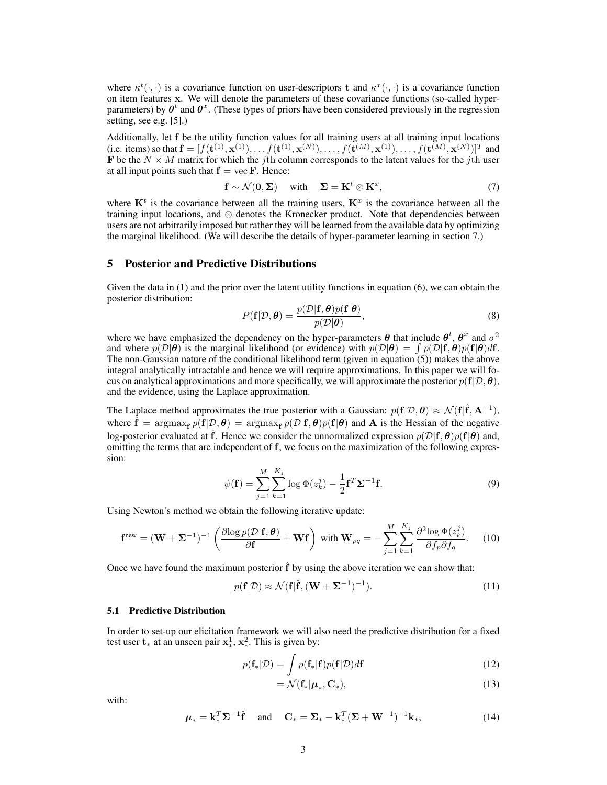where  $\kappa^t(\cdot, \cdot)$  is a covariance function on user-descriptors t and  $\kappa^x(\cdot, \cdot)$  is a covariance function on item features x. We will denote the parameters of these covariance functions (so-called hyperparameters) by  $\theta^t$  and  $\theta^x$ . (These types of priors have been considered previously in the regression setting, see e.g. [5].)

Additionally, let f be the utility function values for all training users at all training input locations (i.e. items) so that  $\mathbf{f} = [f(\mathbf{t}^{(1)}, \mathbf{x}^{(1)}), \dots f(\mathbf{t}^{(1)}, \mathbf{x}^{(N)}), \dots, f(\mathbf{t}^{(M)}, \mathbf{x}^{(1)}), \dots, f(\mathbf{t}^{(M)}, \mathbf{x}^{(N)})]^T$  and **F** be the  $N \times M$  matrix for which the jth column corresponds to the latent values for the jth user at all input points such that  $f = \text{vec } F$ . Hence:

$$
\mathbf{f} \sim \mathcal{N}(\mathbf{0}, \Sigma) \quad \text{with} \quad \Sigma = \mathbf{K}^t \otimes \mathbf{K}^x, \tag{7}
$$

where  $K^t$  is the covariance between all the training users,  $K^x$  is the covariance between all the training input locations, and ⊗ denotes the Kronecker product. Note that dependencies between users are not arbitrarily imposed but rather they will be learned from the available data by optimizing the marginal likelihood. (We will describe the details of hyper-parameter learning in section 7.)

## 5 Posterior and Predictive Distributions

Given the data in (1) and the prior over the latent utility functions in equation (6), we can obtain the posterior distribution:

$$
P(\mathbf{f}|\mathcal{D}, \boldsymbol{\theta}) = \frac{p(\mathcal{D}|\mathbf{f}, \boldsymbol{\theta})p(\mathbf{f}|\boldsymbol{\theta})}{p(\mathcal{D}|\boldsymbol{\theta})},
$$
\n(8)

where we have emphasized the dependency on the hyper-parameters  $\theta$  that include  $\theta^t$ ,  $\theta^x$  and  $\sigma^2$ and where  $p(\mathcal{D}|\boldsymbol{\theta})$  is the marginal likelihood (or evidence) with  $p(\mathcal{D}|\boldsymbol{\theta}) = \int p(\mathcal{D}|\mathbf{f}, \boldsymbol{\theta}) p(\mathbf{f}|\boldsymbol{\theta}) d\mathbf{f}$ . The non-Gaussian nature of the conditional likelihood term (given in equation (5)) makes the above integral analytically intractable and hence we will require approximations. In this paper we will focus on analytical approximations and more specifically, we will approximate the posterior  $p(f|\mathcal{D}, \theta)$ , and the evidence, using the Laplace approximation.

The Laplace method approximates the true posterior with a Gaussian:  $p(f|\mathcal{D}, \theta) \approx \mathcal{N}(f|\hat{f}, A^{-1})$ , where  $\mathbf{f} = \arg\max_{\mathbf{f}} p(\mathbf{f}|\mathcal{D}, \boldsymbol{\theta}) = \arg\max_{\mathbf{f}} p(\mathcal{D}|\mathbf{f}, \boldsymbol{\theta}) p(\mathbf{f}|\boldsymbol{\theta})$  and A is the Hessian of the negative log-posterior evaluated at  $\hat{f}$ . Hence we consider the unnormalized expression  $p(\mathcal{D}|f, \theta)p(f|\theta)$  and, omitting the terms that are independent of f, we focus on the maximization of the following expression:

$$
\psi(\mathbf{f}) = \sum_{j=1}^{M} \sum_{k=1}^{K_j} \log \Phi(z_k^j) - \frac{1}{2} \mathbf{f}^T \mathbf{\Sigma}^{-1} \mathbf{f}.
$$
\n(9)

Using Newton's method we obtain the following iterative update:

$$
\mathbf{f}^{\text{new}} = (\mathbf{W} + \mathbf{\Sigma}^{-1})^{-1} \left( \frac{\partial \log p(\mathcal{D}|\mathbf{f}, \boldsymbol{\theta})}{\partial \mathbf{f}} + \mathbf{W} \mathbf{f} \right) \text{ with } \mathbf{W}_{pq} = -\sum_{j=1}^{M} \sum_{k=1}^{K_j} \frac{\partial^2 \log \Phi(z_k^j)}{\partial f_p \partial f_q}.
$$
 (10)

Once we have found the maximum posterior  $\hat{f}$  by using the above iteration we can show that:

$$
p(\mathbf{f}|\mathcal{D}) \approx \mathcal{N}(\mathbf{f}|\hat{\mathbf{f}}, (\mathbf{W} + \mathbf{\Sigma}^{-1})^{-1}).
$$
\n(11)

## 5.1 Predictive Distribution

In order to set-up our elicitation framework we will also need the predictive distribution for a fixed test user  $\mathbf{t}_*$  at an unseen pair  $\mathbf{x}^1_*$ ,  $\mathbf{x}^2_*$ . This is given by:

$$
p(\mathbf{f}_*|\mathcal{D}) = \int p(\mathbf{f}_*|\mathbf{f})p(\mathbf{f}|\mathcal{D})d\mathbf{f}
$$
 (12)

$$
=\mathcal{N}(\mathbf{f}_*|\boldsymbol{\mu}_*,\mathbf{C}_*),\tag{13}
$$

with:

$$
\boldsymbol{\mu}_{*} = \mathbf{k}_{*}^{T} \boldsymbol{\Sigma}^{-1} \hat{\mathbf{f}} \quad \text{and} \quad \mathbf{C}_{*} = \boldsymbol{\Sigma}_{*} - \mathbf{k}_{*}^{T} (\boldsymbol{\Sigma} + \mathbf{W}^{-1})^{-1} \mathbf{k}_{*}, \tag{14}
$$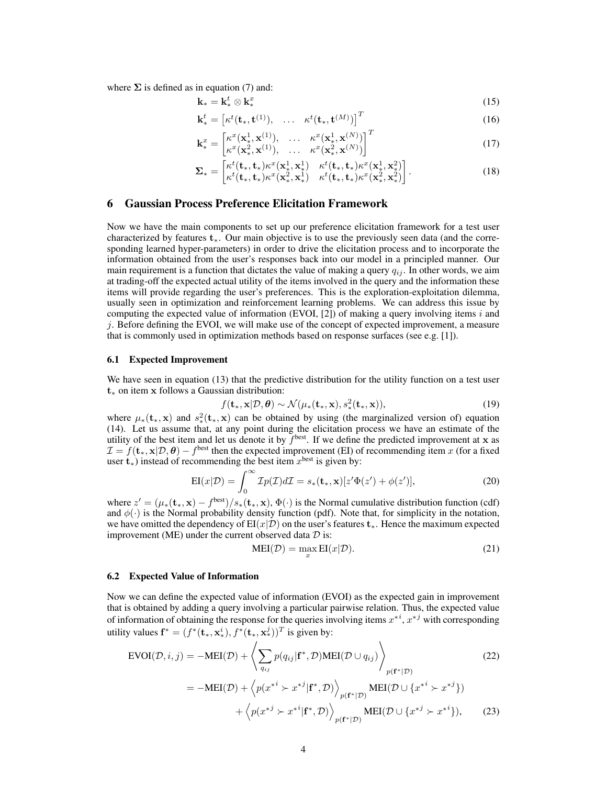where  $\Sigma$  is defined as in equation (7) and:

$$
\mathbf{k}_{*} = \mathbf{k}_{*}^{t} \otimes \mathbf{k}_{*}^{x} \tag{15}
$$

$$
\mathbf{k}_{*}^{t} = \begin{bmatrix} \kappa^{t}(\mathbf{t}_{*}, \mathbf{t}^{(1)}), \quad \dots \quad \kappa^{t}(\mathbf{t}_{*}, \mathbf{t}^{(M)}) \end{bmatrix}^{T}
$$
(16)

$$
\mathbf{k}_{*}^{x} = \begin{bmatrix} \kappa^{x}(\mathbf{x}_{*}^{1}, \mathbf{x}^{(1)}), & \dots & \kappa^{x}(\mathbf{x}_{*}^{1}, \mathbf{x}^{(N)}) \\ \kappa^{x}(\mathbf{x}_{*}^{2}, \mathbf{x}^{(1)}), & \dots & \kappa^{x}(\mathbf{x}_{*}^{2}, \mathbf{x}^{(N)}) \end{bmatrix}^{T}
$$
(17)

$$
\Sigma_* = \begin{bmatrix} \kappa^t(\mathbf{t}_*, \mathbf{t}_*) \kappa^x(\mathbf{x}^1_*, \mathbf{x}^1_*) & \kappa^t(\mathbf{t}_*, \mathbf{t}_*) \kappa^x(\mathbf{x}^1_*, \mathbf{x}^2_*)\\ \kappa^t(\mathbf{t}_*, \mathbf{t}_*) \kappa^x(\mathbf{x}^2_*, \mathbf{x}^1_*) & \kappa^t(\mathbf{t}_*, \mathbf{t}_*) \kappa^x(\mathbf{x}^2_*, \mathbf{x}^2_*) \end{bmatrix} . \tag{18}
$$

## 6 Gaussian Process Preference Elicitation Framework

Now we have the main components to set up our preference elicitation framework for a test user characterized by features t∗. Our main objective is to use the previously seen data (and the corresponding learned hyper-parameters) in order to drive the elicitation process and to incorporate the information obtained from the user's responses back into our model in a principled manner. Our main requirement is a function that dictates the value of making a query  $q_{ij}$ . In other words, we aim at trading-off the expected actual utility of the items involved in the query and the information these items will provide regarding the user's preferences. This is the exploration-exploitation dilemma, usually seen in optimization and reinforcement learning problems. We can address this issue by computing the expected value of information (EVOI,  $[2]$ ) of making a query involving items i and  $j$ . Before defining the EVOI, we will make use of the concept of expected improvement, a measure that is commonly used in optimization methods based on response surfaces (see e.g. [1]).

## 6.1 Expected Improvement

We have seen in equation (13) that the predictive distribution for the utility function on a test user t<sup>∗</sup> on item x follows a Gaussian distribution:

$$
f(\mathbf{t}_{*}, \mathbf{x}|\mathcal{D}, \boldsymbol{\theta}) \sim \mathcal{N}(\mu_{*}(\mathbf{t}_{*}, \mathbf{x}), s_{*}^{2}(\mathbf{t}_{*}, \mathbf{x})),
$$
\n(19)

where  $\mu_*(\mathbf{t}_*, \mathbf{x})$  and  $s^2_*(\mathbf{t}_*, \mathbf{x})$  can be obtained by using (the marginalized version of) equation (14). Let us assume that, at any point during the elicitation process we have an estimate of the utility of the best item and let us denote it by  $f<sup>best</sup>$ . If we define the predicted improvement at x as  $\mathcal{I} = f(\mathbf{t}_*, \mathbf{x} | \mathcal{D}, \boldsymbol{\theta}) - f^{\text{best}}$  then the expected improvement (EI) of recommending item x (for a fixed user  $t_*$ ) instead of recommending the best item  $x^{\text{best}}$  is given by:

$$
EI(x|\mathcal{D}) = \int_0^\infty \mathcal{I}p(\mathcal{I})d\mathcal{I} = s_*(\mathbf{t}_*, \mathbf{x})[z'\Phi(z') + \phi(z')],\tag{20}
$$

where  $z' = (\mu_*(\mathbf{t}_*, \mathbf{x}) - f^{\text{best}})/s_*(\mathbf{t}_*, \mathbf{x}), \Phi(\cdot)$  is the Normal cumulative distribution function (cdf) and  $\phi(\cdot)$  is the Normal probability density function (pdf). Note that, for simplicity in the notation, we have omitted the dependency of  $EI(x|D)$  on the user's features  $t_*$ . Hence the maximum expected improvement (ME) under the current observed data  $D$  is:

$$
MEI(\mathcal{D}) = \max_{x} EI(x|\mathcal{D}).
$$
\n(21)

#### 6.2 Expected Value of Information

Now we can define the expected value of information (EVOI) as the expected gain in improvement that is obtained by adding a query involving a particular pairwise relation. Thus, the expected value of information of obtaining the response for the queries involving items  $x^{*i}$ ,  $x^{*j}$  with corresponding utility values  $\mathbf{f}^* = (f^*(\mathbf{t}_*, \mathbf{x}_*^i), f^*(\mathbf{t}_*, \mathbf{x}_*^j))^T$  is given by:

$$
\text{EVOI}(\mathcal{D}, i, j) = -\text{MEI}(\mathcal{D}) + \left\langle \sum_{q_{ij}} p(q_{ij} | \mathbf{f}^*, \mathcal{D}) \text{MEI}(\mathcal{D} \cup q_{ij}) \right\rangle_{p(\mathbf{f}^*|\mathcal{D})}
$$
(22)  

$$
= -\text{MEI}(\mathcal{D}) + \left\langle p(x^{*i} \succ x^{*j} | \mathbf{f}^*, \mathcal{D}) \right\rangle_{p(\mathbf{f}^*|\mathcal{D})} \text{MEI}(\mathcal{D} \cup \{x^{*i} \succ x^{*j}\})
$$

$$
+ \left\langle p(x^{*j} \succ x^{*i} | \mathbf{f}^*, \mathcal{D}) \right\rangle_{p(\mathbf{f}^*|\mathcal{D})} \text{MEI}(\mathcal{D} \cup \{x^{*j} \succ x^{*i}\}), \qquad (23)
$$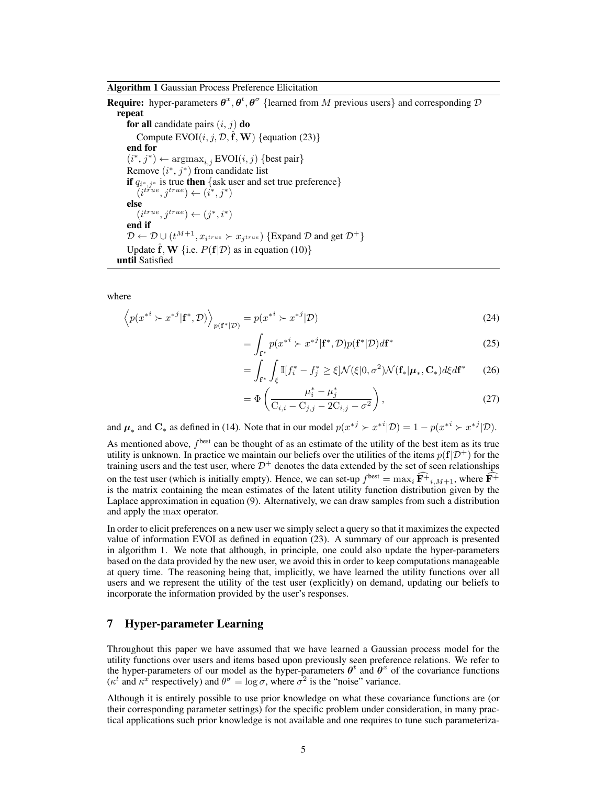**Require:** hyper-parameters  $\theta^x, \theta^t, \theta^{\sigma}$  {learned from M previous users} and corresponding D repeat for all candidate pairs  $(i, j)$  do Compute  $EVOI(i, j, \mathcal{D}, \hat{f}, \mathbf{W})$  {equation (23)} end for  $(i^*, j^*) \leftarrow \text{argmax}_{i,j} \text{EVOI}(i, j) \{\text{best pair}\}\$ Remove  $(i^*, j^*)$  from candidate list **if**  $q_{i^*,j^*}$  is true **then** {ask user and set true preference}  $(i^{true}, j^{true}) \leftarrow (i^*, j^*)$ else  $(i^{true}, j^{true}) \leftarrow (j^*, i^*)$ end if  $\mathcal{D} \leftarrow \mathcal{D} \cup (t^{M+1}, x_{i^{true}} \succ x_{j^{true}})$  {Expand  $\mathcal{D}$  and get  $\mathcal{D}^+$ } Update  $\hat{\mathbf{f}}$ , **W** {i.e.  $P(\mathbf{f}|\mathcal{D})$  as in equation (10)} until Satisfied

where

$$
\left\langle p(x^{*i} \succ x^{*j} | \mathbf{f}^*, \mathcal{D}) \right\rangle_{p(\mathbf{f}^* | \mathcal{D})} = p(x^{*i} \succ x^{*j} | \mathcal{D}) \tag{24}
$$

$$
= \int_{\mathbf{f}^*} p(x^{*i} \succ x^{*j} | \mathbf{f}^*, \mathcal{D}) p(\mathbf{f}^* | \mathcal{D}) d\mathbf{f}^*
$$
 (25)

$$
= \int_{\mathbf{f}^*} \int_{\xi} \mathbb{I}[f_i^* - f_j^* \ge \xi] \mathcal{N}(\xi|0, \sigma^2) \mathcal{N}(\mathbf{f}_*|\boldsymbol{\mu}_*, \mathbf{C}_*) d\xi d\mathbf{f}^* \qquad (26)
$$

$$
= \Phi\left(\frac{\mu_i^* - \mu_j^*}{C_{i,i} - C_{j,j} - 2C_{i,j} - \sigma^2}\right),
$$
\n(27)

and  $\mu_*$  and  $\mathbf{C}_*$  as defined in (14). Note that in our model  $p(x^{*j} \succ x^{*i} | \mathcal{D}) = 1 - p(x^{*i} \succ x^{*j} | \mathcal{D})$ .

As mentioned above,  $f<sup>best</sup>$  can be thought of as an estimate of the utility of the best item as its true utility is unknown. In practice we maintain our beliefs over the utilities of the items  $p(f|\mathcal{D}^+)$  for the training users and the test user, where  $\mathcal{D}^+$  denotes the data extended by the set of seen relationships on the test user (which is initially empty). Hence, we can set-up  $f^{\text{best}} = \max_i \mathbf{F}^+_{i,M+1}$ , where  $\mathbf{F}^+$ is the matrix containing the mean estimates of the latent utility function distribution given by the Laplace approximation in equation (9). Alternatively, we can draw samples from such a distribution and apply the max operator.

In order to elicit preferences on a new user we simply select a query so that it maximizes the expected value of information EVOI as defined in equation (23). A summary of our approach is presented in algorithm 1. We note that although, in principle, one could also update the hyper-parameters based on the data provided by the new user, we avoid this in order to keep computations manageable at query time. The reasoning being that, implicitly, we have learned the utility functions over all users and we represent the utility of the test user (explicitly) on demand, updating our beliefs to incorporate the information provided by the user's responses.

# 7 Hyper-parameter Learning

Throughout this paper we have assumed that we have learned a Gaussian process model for the utility functions over users and items based upon previously seen preference relations. We refer to the hyper-parameters of our model as the hyper-parameters  $\theta^t$  and  $\theta^x$  of the covariance functions ( $\kappa^t$  and  $\kappa^x$  respectively) and  $\theta^{\sigma} = \log \sigma$ , where  $\sigma^2$  is the "noise" variance.

Although it is entirely possible to use prior knowledge on what these covariance functions are (or their corresponding parameter settings) for the specific problem under consideration, in many practical applications such prior knowledge is not available and one requires to tune such parameteriza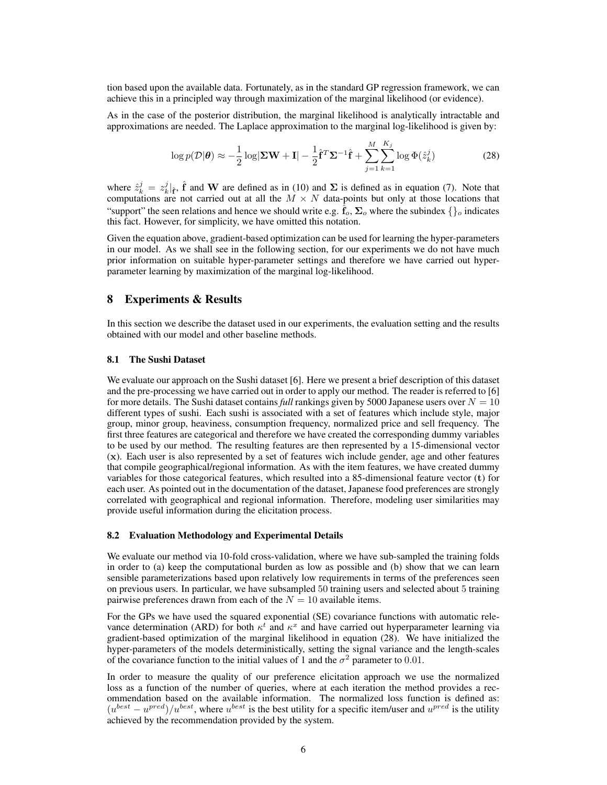tion based upon the available data. Fortunately, as in the standard GP regression framework, we can achieve this in a principled way through maximization of the marginal likelihood (or evidence).

As in the case of the posterior distribution, the marginal likelihood is analytically intractable and approximations are needed. The Laplace approximation to the marginal log-likelihood is given by:

$$
\log p(\mathcal{D}|\boldsymbol{\theta}) \approx -\frac{1}{2}\log|\mathbf{\Sigma}\mathbf{W} + \mathbf{I}| - \frac{1}{2}\hat{\mathbf{f}}^T\mathbf{\Sigma}^{-1}\hat{\mathbf{f}} + \sum_{j=1}^M \sum_{k=1}^{K_j} \log \Phi(\hat{z}_k^j)
$$
(28)

where  $\hat{z}_k^j = z_k^j |_{\hat{f}}, \hat{f}$  and W are defined as in (10) and  $\Sigma$  is defined as in equation (7). Note that computations are not carried out at all the  $M \times N$  data-points but only at those locations that "support" the seen relations and hence we should write e.g.  $\mathbf{f}_o$ ,  $\Sigma_o$  where the subindex  $\{\}$ <sub>o</sub> indicates this fact. However, for simplicity, we have omitted this notation.

Given the equation above, gradient-based optimization can be used for learning the hyper-parameters in our model. As we shall see in the following section, for our experiments we do not have much prior information on suitable hyper-parameter settings and therefore we have carried out hyperparameter learning by maximization of the marginal log-likelihood.

## 8 Experiments & Results

In this section we describe the dataset used in our experiments, the evaluation setting and the results obtained with our model and other baseline methods.

## 8.1 The Sushi Dataset

We evaluate our approach on the Sushi dataset [6]. Here we present a brief description of this dataset and the pre-processing we have carried out in order to apply our method. The reader is referred to [6] for more details. The Sushi dataset contains *full* rankings given by 5000 Japanese users over  $N = 10$ different types of sushi. Each sushi is associated with a set of features which include style, major group, minor group, heaviness, consumption frequency, normalized price and sell frequency. The first three features are categorical and therefore we have created the corresponding dummy variables to be used by our method. The resulting features are then represented by a 15-dimensional vector (x). Each user is also represented by a set of features wich include gender, age and other features that compile geographical/regional information. As with the item features, we have created dummy variables for those categorical features, which resulted into a 85-dimensional feature vector (t) for each user. As pointed out in the documentation of the dataset, Japanese food preferences are strongly correlated with geographical and regional information. Therefore, modeling user similarities may provide useful information during the elicitation process.

#### 8.2 Evaluation Methodology and Experimental Details

We evaluate our method via 10-fold cross-validation, where we have sub-sampled the training folds in order to (a) keep the computational burden as low as possible and (b) show that we can learn sensible parameterizations based upon relatively low requirements in terms of the preferences seen on previous users. In particular, we have subsampled 50 training users and selected about 5 training pairwise preferences drawn from each of the  $N = 10$  available items.

For the GPs we have used the squared exponential (SE) covariance functions with automatic relevance determination (ARD) for both  $\kappa^t$  and  $\kappa^x$  and have carried out hyperparameter learning via gradient-based optimization of the marginal likelihood in equation (28). We have initialized the hyper-parameters of the models deterministically, setting the signal variance and the length-scales of the covariance function to the initial values of 1 and the  $\sigma^2$  parameter to 0.01.

In order to measure the quality of our preference elicitation approach we use the normalized loss as a function of the number of queries, where at each iteration the method provides a recommendation based on the available information. The normalized loss function is defined as:  $(u^{best} - u^{pred})/u^{best}$ , where  $u^{best}$  is the best utility for a specific item/user and  $u^{pred}$  is the utility achieved by the recommendation provided by the system.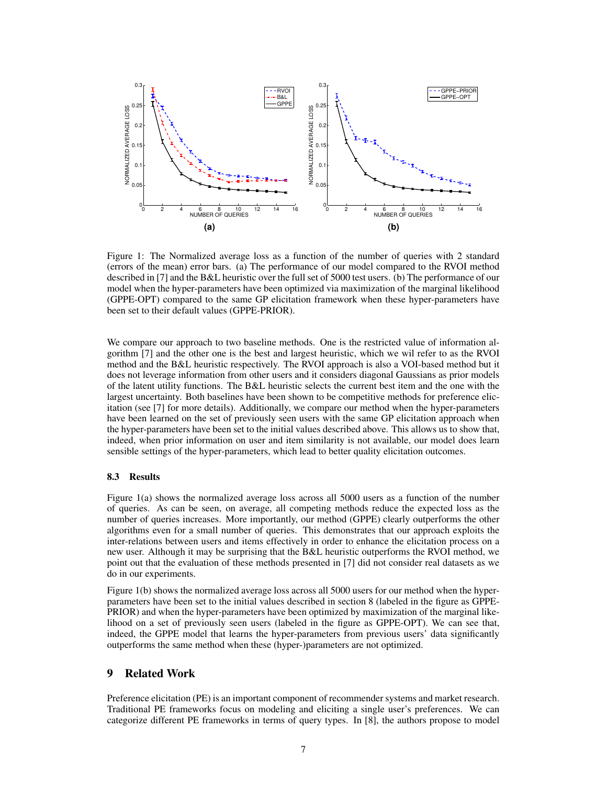

Figure 1: The Normalized average loss as a function of the number of queries with 2 standard (errors of the mean) error bars. (a) The performance of our model compared to the RVOI method described in [7] and the B&L heuristic over the full set of 5000 test users. (b) The performance of our model when the hyper-parameters have been optimized via maximization of the marginal likelihood (GPPE-OPT) compared to the same GP elicitation framework when these hyper-parameters have been set to their default values (GPPE-PRIOR).

We compare our approach to two baseline methods. One is the restricted value of information algorithm [7] and the other one is the best and largest heuristic, which we wil refer to as the RVOI method and the B&L heuristic respectively. The RVOI approach is also a VOI-based method but it does not leverage information from other users and it considers diagonal Gaussians as prior models of the latent utility functions. The B&L heuristic selects the current best item and the one with the largest uncertainty. Both baselines have been shown to be competitive methods for preference elicitation (see [7] for more details). Additionally, we compare our method when the hyper-parameters have been learned on the set of previously seen users with the same GP elicitation approach when the hyper-parameters have been set to the initial values described above. This allows us to show that, indeed, when prior information on user and item similarity is not available, our model does learn sensible settings of the hyper-parameters, which lead to better quality elicitation outcomes.

## 8.3 Results

Figure 1(a) shows the normalized average loss across all 5000 users as a function of the number of queries. As can be seen, on average, all competing methods reduce the expected loss as the number of queries increases. More importantly, our method (GPPE) clearly outperforms the other algorithms even for a small number of queries. This demonstrates that our approach exploits the inter-relations between users and items effectively in order to enhance the elicitation process on a new user. Although it may be surprising that the B&L heuristic outperforms the RVOI method, we point out that the evaluation of these methods presented in [7] did not consider real datasets as we do in our experiments.

Figure 1(b) shows the normalized average loss across all 5000 users for our method when the hyperparameters have been set to the initial values described in section 8 (labeled in the figure as GPPE-PRIOR) and when the hyper-parameters have been optimized by maximization of the marginal likelihood on a set of previously seen users (labeled in the figure as GPPE-OPT). We can see that, indeed, the GPPE model that learns the hyper-parameters from previous users' data significantly outperforms the same method when these (hyper-)parameters are not optimized.

## 9 Related Work

Preference elicitation (PE) is an important component of recommender systems and market research. Traditional PE frameworks focus on modeling and eliciting a single user's preferences. We can categorize different PE frameworks in terms of query types. In [8], the authors propose to model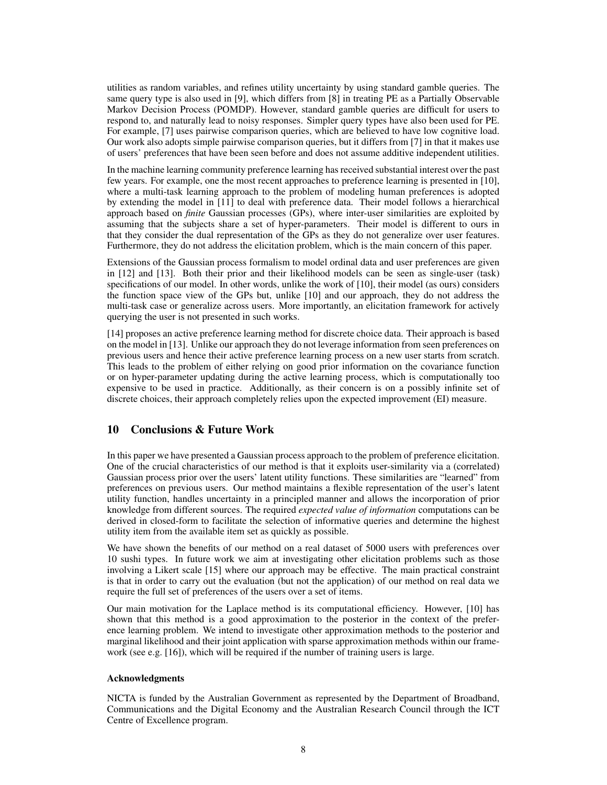utilities as random variables, and refines utility uncertainty by using standard gamble queries. The same query type is also used in [9], which differs from [8] in treating PE as a Partially Observable Markov Decision Process (POMDP). However, standard gamble queries are difficult for users to respond to, and naturally lead to noisy responses. Simpler query types have also been used for PE. For example, [7] uses pairwise comparison queries, which are believed to have low cognitive load. Our work also adopts simple pairwise comparison queries, but it differs from [7] in that it makes use of users' preferences that have been seen before and does not assume additive independent utilities.

In the machine learning community preference learning has received substantial interest over the past few years. For example, one the most recent approaches to preference learning is presented in [10], where a multi-task learning approach to the problem of modeling human preferences is adopted by extending the model in [11] to deal with preference data. Their model follows a hierarchical approach based on *finite* Gaussian processes (GPs), where inter-user similarities are exploited by assuming that the subjects share a set of hyper-parameters. Their model is different to ours in that they consider the dual representation of the GPs as they do not generalize over user features. Furthermore, they do not address the elicitation problem, which is the main concern of this paper.

Extensions of the Gaussian process formalism to model ordinal data and user preferences are given in [12] and [13]. Both their prior and their likelihood models can be seen as single-user (task) specifications of our model. In other words, unlike the work of [10], their model (as ours) considers the function space view of the GPs but, unlike [10] and our approach, they do not address the multi-task case or generalize across users. More importantly, an elicitation framework for actively querying the user is not presented in such works.

[14] proposes an active preference learning method for discrete choice data. Their approach is based on the model in [13]. Unlike our approach they do not leverage information from seen preferences on previous users and hence their active preference learning process on a new user starts from scratch. This leads to the problem of either relying on good prior information on the covariance function or on hyper-parameter updating during the active learning process, which is computationally too expensive to be used in practice. Additionally, as their concern is on a possibly infinite set of discrete choices, their approach completely relies upon the expected improvement (EI) measure.

# 10 Conclusions & Future Work

In this paper we have presented a Gaussian process approach to the problem of preference elicitation. One of the crucial characteristics of our method is that it exploits user-similarity via a (correlated) Gaussian process prior over the users' latent utility functions. These similarities are "learned" from preferences on previous users. Our method maintains a flexible representation of the user's latent utility function, handles uncertainty in a principled manner and allows the incorporation of prior knowledge from different sources. The required *expected value of information* computations can be derived in closed-form to facilitate the selection of informative queries and determine the highest utility item from the available item set as quickly as possible.

We have shown the benefits of our method on a real dataset of 5000 users with preferences over 10 sushi types. In future work we aim at investigating other elicitation problems such as those involving a Likert scale [15] where our approach may be effective. The main practical constraint is that in order to carry out the evaluation (but not the application) of our method on real data we require the full set of preferences of the users over a set of items.

Our main motivation for the Laplace method is its computational efficiency. However, [10] has shown that this method is a good approximation to the posterior in the context of the preference learning problem. We intend to investigate other approximation methods to the posterior and marginal likelihood and their joint application with sparse approximation methods within our framework (see e.g. [16]), which will be required if the number of training users is large.

## Acknowledgments

NICTA is funded by the Australian Government as represented by the Department of Broadband, Communications and the Digital Economy and the Australian Research Council through the ICT Centre of Excellence program.